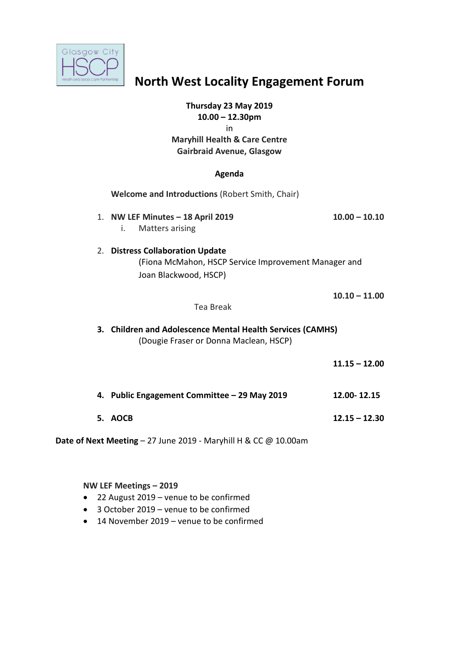

# **North West Locality Engagement Forum**

# **Thursday 23 May 2019**

**10.00 – 12.30pm**  in

# **Maryhill Health & Care Centre Gairbraid Avenue, Glasgow**

#### **Agenda**

|                                                                            | Welcome and Introductions (Robert Smith, Chair)                                                                   |                 |
|----------------------------------------------------------------------------|-------------------------------------------------------------------------------------------------------------------|-----------------|
|                                                                            | 1. NW LEF Minutes - 18 April 2019<br>Matters arising<br>i.                                                        | $10.00 - 10.10$ |
|                                                                            | 2. Distress Collaboration Update<br>(Fiona McMahon, HSCP Service Improvement Manager and<br>Joan Blackwood, HSCP) |                 |
|                                                                            | Tea Break                                                                                                         | $10.10 - 11.00$ |
|                                                                            | 3. Children and Adolescence Mental Health Services (CAMHS)<br>(Dougie Fraser or Donna Maclean, HSCP)              |                 |
|                                                                            |                                                                                                                   | $11.15 - 12.00$ |
|                                                                            | 4. Public Engagement Committee - 29 May 2019                                                                      | 12.00-12.15     |
|                                                                            | 5. AOCB                                                                                                           | $12.15 - 12.30$ |
| <b>Date of Next Meeting - 27 June 2019 - Maryhill H &amp; CC @ 10.00am</b> |                                                                                                                   |                 |

#### **NW LEF Meetings – 2019**

- 22 August 2019 venue to be confirmed
- 3 October 2019 venue to be confirmed
- 14 November 2019 venue to be confirmed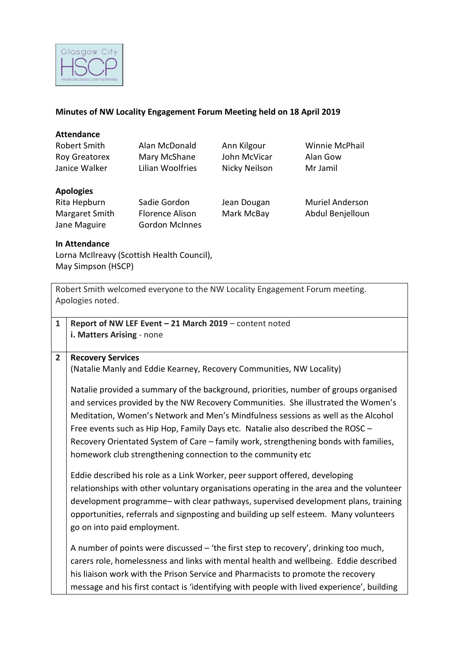

# **Minutes of NW Locality Engagement Forum Meeting held on 18 April 2019**

# **Attendance**

| Robert Smith     | Alan McDonald    | Ann Kilgour   | Winnie McPhail |
|------------------|------------------|---------------|----------------|
| Roy Greatorex    | Mary McShane     | John McVicar  | Alan Gow       |
| Janice Walker    | Lilian Woolfries | Nicky Neilson | Mr Jamil       |
| <b>Apologies</b> |                  |               |                |

#### **Apologies**

| Rita Hepburn   | Sadie Gordon           |
|----------------|------------------------|
| Margaret Smith | <b>Florence Alison</b> |
| Jane Maguire   | <b>Gordon McInnes</b>  |

don Jean Dougan Muriel Anderson Mark McBay Abdul Benjelloun

# **In Attendance**

Lorna McIlreavy (Scottish Health Council), May Simpson (HSCP)

|                | Robert Smith welcomed everyone to the NW Locality Engagement Forum meeting.                |
|----------------|--------------------------------------------------------------------------------------------|
|                | Apologies noted.                                                                           |
|                |                                                                                            |
| $\mathbf{1}$   | Report of NW LEF Event - 21 March 2019 - content noted                                     |
|                | i. Matters Arising - none                                                                  |
|                |                                                                                            |
| $\overline{2}$ | <b>Recovery Services</b>                                                                   |
|                | (Natalie Manly and Eddie Kearney, Recovery Communities, NW Locality)                       |
|                | Natalie provided a summary of the background, priorities, number of groups organised       |
|                | and services provided by the NW Recovery Communities. She illustrated the Women's          |
|                |                                                                                            |
|                | Meditation, Women's Network and Men's Mindfulness sessions as well as the Alcohol          |
|                | Free events such as Hip Hop, Family Days etc. Natalie also described the ROSC -            |
|                | Recovery Orientated System of Care - family work, strengthening bonds with families,       |
|                | homework club strengthening connection to the community etc                                |
|                | Eddie described his role as a Link Worker, peer support offered, developing                |
|                | relationships with other voluntary organisations operating in the area and the volunteer   |
|                | development programme- with clear pathways, supervised development plans, training         |
|                | opportunities, referrals and signposting and building up self esteem. Many volunteers      |
|                | go on into paid employment.                                                                |
|                |                                                                                            |
|                | A number of points were discussed - 'the first step to recovery', drinking too much,       |
|                | carers role, homelessness and links with mental health and wellbeing. Eddie described      |
|                | his liaison work with the Prison Service and Pharmacists to promote the recovery           |
|                | message and his first contact is 'identifying with people with lived experience', building |